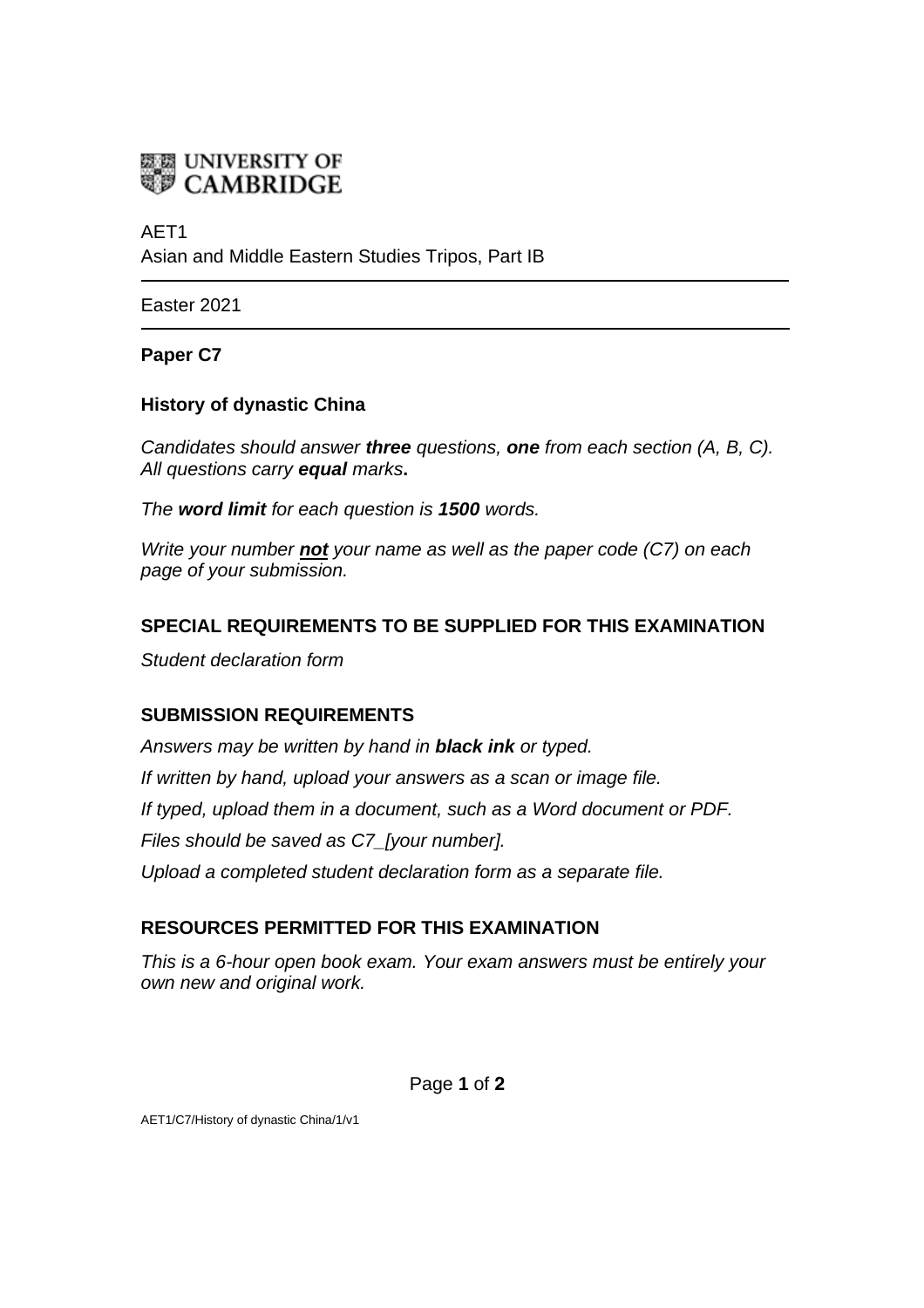

# AET1

Asian and Middle Eastern Studies Tripos, Part IB

Easter 2021

## **Paper C7**

## **History of dynastic China**

*Candidates should answer three questions, one from each section (A, B, C). All questions carry equal marks***.** 

*The word limit for each question is 1500 words.* 

*Write your number not your name as well as the paper code (C7) on each page of your submission.*

## **SPECIAL REQUIREMENTS TO BE SUPPLIED FOR THIS EXAMINATION**

*Student declaration form* 

## **SUBMISSION REQUIREMENTS**

*Answers may be written by hand in black ink or typed. If written by hand, upload your answers as a scan or image file. If typed, upload them in a document, such as a Word document or PDF. Files should be saved as C7\_[your number]. Upload a completed student declaration form as a separate file.* 

## **RESOURCES PERMITTED FOR THIS EXAMINATION**

*This is a 6-hour open book exam. Your exam answers must be entirely your own new and original work.* 

Page **1** of **2**

AET1/C7/History of dynastic China/1/v1